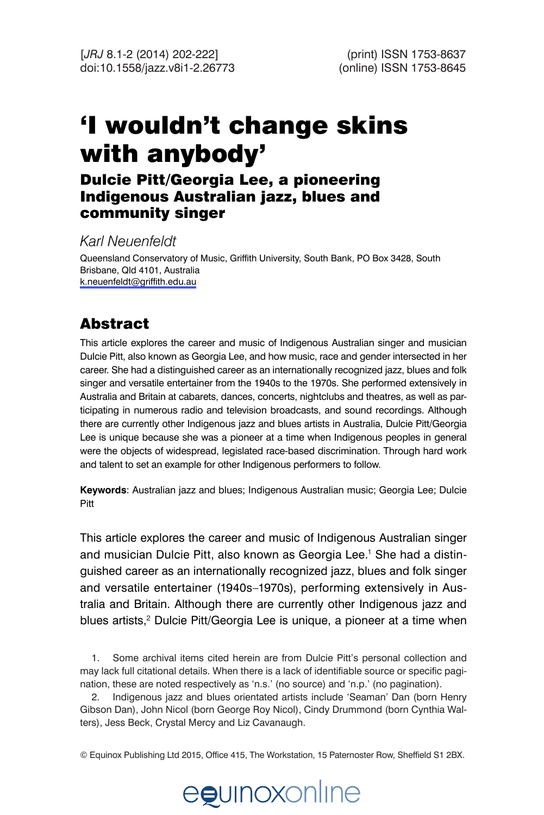# 'I wouldn't change skins with anybody'

## Dulcie Pitt/Georgia Lee, a pioneering Indigenous Australian jazz, blues and community singer

*Karl Neuenfeldt*

Queensland Conservatory of Music, Griffith University, South Bank, PO Box 3428, South Brisbane, Qld 4101, Australia [k.neuenfeldt@griffith.edu.au](mailto:k.neuenfeldt@griffith.edu.au)

## Abstract

This article explores the career and music of Indigenous Australian singer and musician Dulcie Pitt, also known as Georgia Lee, and how music, race and gender intersected in her career. She had a distinguished career as an internationally recognized jazz, blues and folk singer and versatile entertainer from the 1940s to the 1970s. She performed extensively in Australia and Britain at cabarets, dances, concerts, nightclubs and theatres, as well as participating in numerous radio and television broadcasts, and sound recordings. Although there are currently other Indigenous jazz and blues artists in Australia, Dulcie Pitt/Georgia Lee is unique because she was a pioneer at a time when Indigenous peoples in general were the objects of widespread, legislated race-based discrimination. Through hard work and talent to set an example for other Indigenous performers to follow.

**Keywords**: Australian jazz and blues; Indigenous Australian music; Georgia Lee; Dulcie Pitt

This article explores the career and music of Indigenous Australian singer and musician Dulcie Pitt, also known as Georgia Lee.<sup>1</sup> She had a distinguished career as an internationally recognized jazz, blues and folk singer and versatile entertainer (1940s–1970s), performing extensively in Australia and Britain. Although there are currently other Indigenous jazz and blues artists,<sup>2</sup> Dulcie Pitt/Georgia Lee is unique, a pioneer at a time when

1. Some archival items cited herein are from Dulcie Pitt's personal collection and may lack full citational details. When there is a lack of identifiable source or specific pagination, these are noted respectively as 'n.s.' (no source) and 'n.p.' (no pagination).

2. Indigenous jazz and blues orientated artists include 'Seaman' Dan (born Henry Gibson Dan), John Nicol (born George Roy Nicol), Cindy Drummond (born Cynthia Walters), Jess Beck, Crystal Mercy and Liz Cavanaugh.

© Equinox Publishing Ltd 2015, Office 415, The Workstation, 15 Paternoster Row, Sheffield S1 2BX.

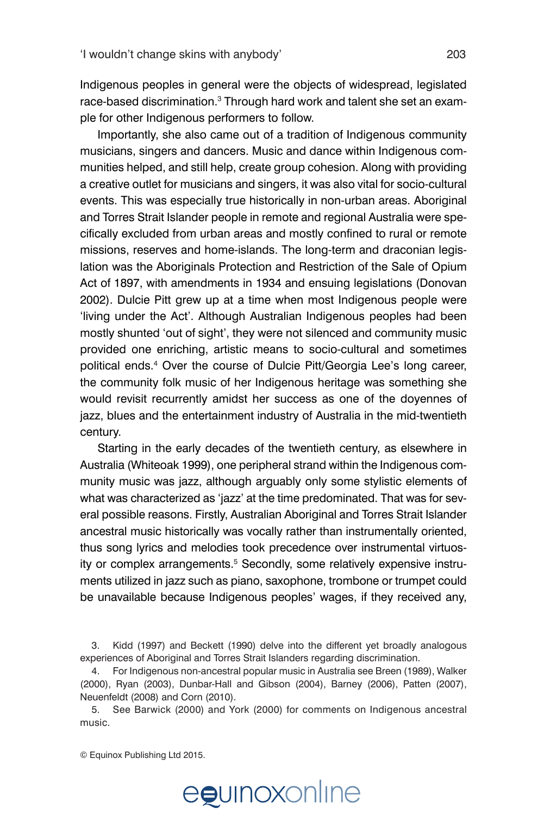Indigenous peoples in general were the objects of widespread, legislated race-based discrimination.<sup>3</sup> Through hard work and talent she set an example for other Indigenous performers to follow.

Importantly, she also came out of a tradition of Indigenous community musicians, singers and dancers. Music and dance within Indigenous communities helped, and still help, create group cohesion. Along with providing a creative outlet for musicians and singers, it was also vital for socio-cultural events. This was especially true historically in non-urban areas. Aboriginal and Torres Strait Islander people in remote and regional Australia were specifically excluded from urban areas and mostly confined to rural or remote missions, reserves and home-islands. The long-term and draconian legislation was the Aboriginals Protection and Restriction of the Sale of Opium Act of 1897, with amendments in 1934 and ensuing legislations (Donovan 2002). Dulcie Pitt grew up at a time when most Indigenous people were 'living under the Act'. Although Australian Indigenous peoples had been mostly shunted 'out of sight', they were not silenced and community music provided one enriching, artistic means to socio-cultural and sometimes political ends.4 Over the course of Dulcie Pitt/Georgia Lee's long career, the community folk music of her Indigenous heritage was something she would revisit recurrently amidst her success as one of the doyennes of jazz, blues and the entertainment industry of Australia in the mid-twentieth century.

Starting in the early decades of the twentieth century, as elsewhere in Australia (Whiteoak 1999), one peripheral strand within the Indigenous community music was jazz, although arguably only some stylistic elements of what was characterized as 'jazz' at the time predominated. That was for several possible reasons. Firstly, Australian Aboriginal and Torres Strait Islander ancestral music historically was vocally rather than instrumentally oriented, thus song lyrics and melodies took precedence over instrumental virtuosity or complex arrangements.<sup>5</sup> Secondly, some relatively expensive instruments utilized in jazz such as piano, saxophone, trombone or trumpet could be unavailable because Indigenous peoples' wages, if they received any,

# egunoxonline

<sup>3.</sup> Kidd (1997) and Beckett (1990) delve into the different yet broadly analogous experiences of Aboriginal and Torres Strait Islanders regarding discrimination.

<sup>4.</sup> For Indigenous non-ancestral popular music in Australia see Breen (1989), Walker (2000), Ryan (2003), Dunbar-Hall and Gibson (2004), Barney (2006), Patten (2007), Neuenfeldt (2008) and Corn (2010).

<sup>5.</sup> See Barwick (2000) and York (2000) for comments on Indigenous ancestral music.

<sup>©</sup> Equinox Publishing Ltd 2015.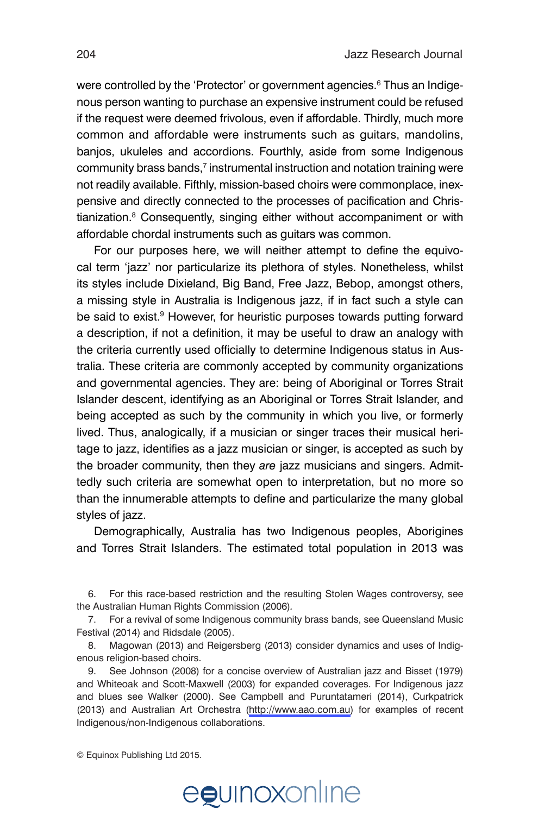were controlled by the 'Protector' or government agencies.<sup>6</sup> Thus an Indigenous person wanting to purchase an expensive instrument could be refused if the request were deemed frivolous, even if affordable. Thirdly, much more common and affordable were instruments such as guitars, mandolins, banjos, ukuleles and accordions. Fourthly, aside from some Indigenous  $\mathsf{community}$  brass bands, $^7$  instrumental instruction and notation training were not readily available. Fifthly, mission-based choirs were commonplace, inexpensive and directly connected to the processes of pacification and Christianization.<sup>8</sup> Consequently, singing either without accompaniment or with affordable chordal instruments such as guitars was common.

For our purposes here, we will neither attempt to define the equivocal term 'jazz' nor particularize its plethora of styles. Nonetheless, whilst its styles include Dixieland, Big Band, Free Jazz, Bebop, amongst others, a missing style in Australia is Indigenous jazz, if in fact such a style can be said to exist.<sup>9</sup> However, for heuristic purposes towards putting forward a description, if not a definition, it may be useful to draw an analogy with the criteria currently used officially to determine Indigenous status in Australia. These criteria are commonly accepted by community organizations and governmental agencies. They are: being of Aboriginal or Torres Strait Islander descent, identifying as an Aboriginal or Torres Strait Islander, and being accepted as such by the community in which you live, or formerly lived. Thus, analogically, if a musician or singer traces their musical heritage to jazz, identifies as a jazz musician or singer, is accepted as such by the broader community, then they *are* jazz musicians and singers. Admittedly such criteria are somewhat open to interpretation, but no more so than the innumerable attempts to define and particularize the many global styles of jazz.

Demographically, Australia has two Indigenous peoples, Aborigines and Torres Strait Islanders. The estimated total population in 2013 was

6. For this race-based restriction and the resulting Stolen Wages controversy, see the Australian Human Rights Commission (2006)*.*

7. For a revival of some Indigenous community brass bands, see Queensland Music Festival (2014) and Ridsdale (2005).

8. Magowan (2013) and Reigersberg (2013) consider dynamics and uses of Indigenous religion-based choirs.

9. See Johnson (2008) for a concise overview of Australian jazz and Bisset (1979) and Whiteoak and Scott-Maxwell (2003) for expanded coverages. For Indigenous jazz and blues see Walker (2000). See Campbell and Puruntatameri (2014), Curkpatrick (2013) and Australian Art Orchestra (<http://www.aao.com.au>) for examples of recent Indigenous/non-Indigenous collaborations.

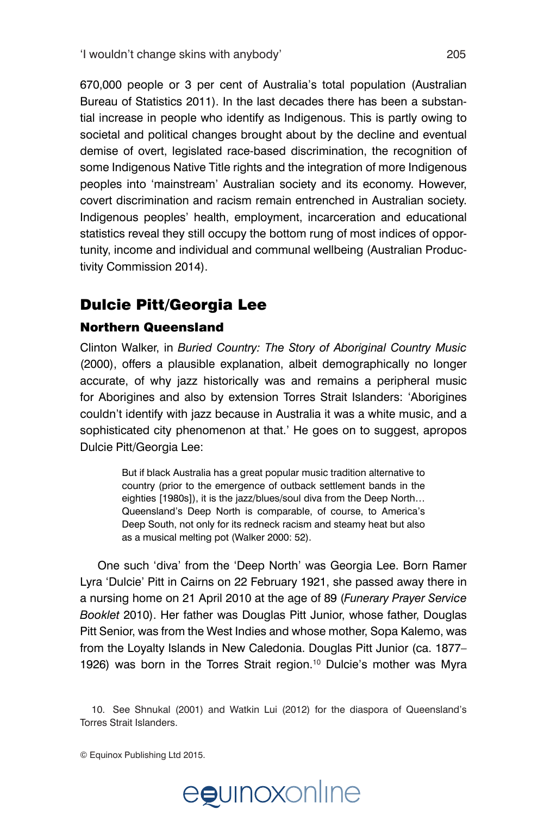670,000 people or 3 per cent of Australia's total population (Australian Bureau of Statistics 2011). In the last decades there has been a substantial increase in people who identify as Indigenous. This is partly owing to societal and political changes brought about by the decline and eventual demise of overt, legislated race-based discrimination, the recognition of some Indigenous Native Title rights and the integration of more Indigenous peoples into 'mainstream' Australian society and its economy. However, covert discrimination and racism remain entrenched in Australian society. Indigenous peoples' health, employment, incarceration and educational statistics reveal they still occupy the bottom rung of most indices of opportunity, income and individual and communal wellbeing (Australian Productivity Commission 2014).

## Dulcie Pitt/Georgia Lee

#### Northern Queensland

Clinton Walker, in *Buried Country: The Story of Aboriginal Country Music* (2000), offers a plausible explanation, albeit demographically no longer accurate, of why jazz historically was and remains a peripheral music for Aborigines and also by extension Torres Strait Islanders: 'Aborigines couldn't identify with jazz because in Australia it was a white music, and a sophisticated city phenomenon at that.' He goes on to suggest, apropos Dulcie Pitt/Georgia Lee:

> But if black Australia has a great popular music tradition alternative to country (prior to the emergence of outback settlement bands in the eighties [1980s]), it is the jazz/blues/soul diva from the Deep North… Queensland's Deep North is comparable, of course, to America's Deep South, not only for its redneck racism and steamy heat but also as a musical melting pot (Walker 2000: 52).

One such 'diva' from the 'Deep North' was Georgia Lee. Born Ramer Lyra 'Dulcie' Pitt in Cairns on 22 February 1921, she passed away there in a nursing home on 21 April 2010 at the age of 89 (*Funerary Prayer Service Booklet* 2010). Her father was Douglas Pitt Junior, whose father, Douglas Pitt Senior, was from the West Indies and whose mother, Sopa Kalemo, was from the Loyalty Islands in New Caledonia. Douglas Pitt Junior (ca. 1877– 1926) was born in the Torres Strait region.<sup>10</sup> Dulcie's mother was Myra

<sup>©</sup> Equinox Publishing Ltd 2015.



<sup>10.</sup> See Shnukal (2001) and Watkin Lui (2012) for the diaspora of Queensland's Torres Strait Islanders.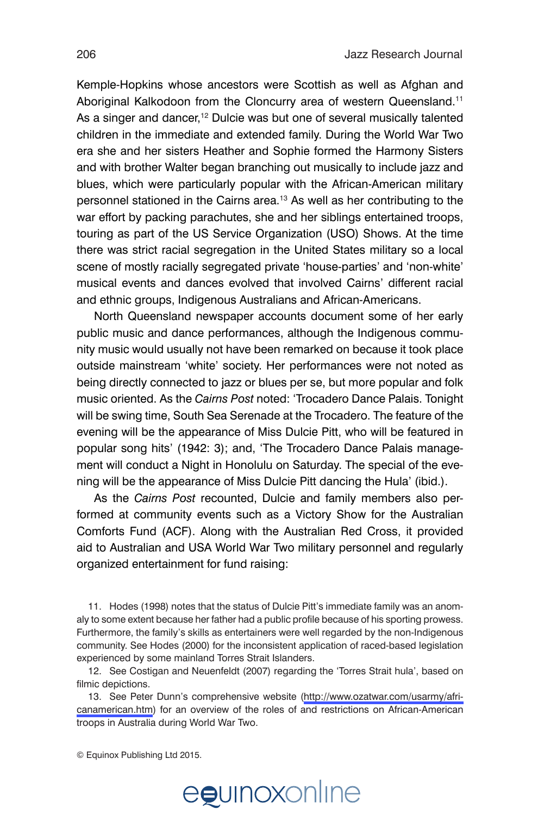Kemple-Hopkins whose ancestors were Scottish as well as Afghan and Aboriginal Kalkodoon from the Cloncurry area of western Queensland.<sup>11</sup> As a singer and dancer,<sup>12</sup> Dulcie was but one of several musically talented children in the immediate and extended family. During the World War Two era she and her sisters Heather and Sophie formed the Harmony Sisters and with brother Walter began branching out musically to include jazz and blues, which were particularly popular with the African-American military personnel stationed in the Cairns area.<sup>13</sup> As well as her contributing to the war effort by packing parachutes, she and her siblings entertained troops, touring as part of the US Service Organization (USO) Shows. At the time there was strict racial segregation in the United States military so a local scene of mostly racially segregated private 'house-parties' and 'non-white' musical events and dances evolved that involved Cairns' different racial and ethnic groups, Indigenous Australians and African-Americans.

North Queensland newspaper accounts document some of her early public music and dance performances, although the Indigenous community music would usually not have been remarked on because it took place outside mainstream 'white' society. Her performances were not noted as being directly connected to jazz or blues per se, but more popular and folk music oriented. As the *Cairns Post* noted: 'Trocadero Dance Palais. Tonight will be swing time, South Sea Serenade at the Trocadero. The feature of the evening will be the appearance of Miss Dulcie Pitt, who will be featured in popular song hits' (1942: 3); and, 'The Trocadero Dance Palais management will conduct a Night in Honolulu on Saturday. The special of the evening will be the appearance of Miss Dulcie Pitt dancing the Hula' (ibid.).

As the *Cairns Post* recounted, Dulcie and family members also performed at community events such as a Victory Show for the Australian Comforts Fund (ACF). Along with the Australian Red Cross, it provided aid to Australian and USA World War Two military personnel and regularly organized entertainment for fund raising:

11. Hodes (1998) notes that the status of Dulcie Pitt's immediate family was an anomaly to some extent because her father had a public profile because of his sporting prowess. Furthermore, the family's skills as entertainers were well regarded by the non-Indigenous community. See Hodes (2000) for the inconsistent application of raced-based legislation experienced by some mainland Torres Strait Islanders.

12. See Costigan and Neuenfeldt (2007) regarding the 'Torres Strait hula', based on filmic depictions.

13. See Peter Dunn's comprehensive website [\(http://www.ozatwar.com/usarmy/afri](http://www.ozatwar.com/usarmy/africanamerican.htm)[canamerican.htm](http://www.ozatwar.com/usarmy/africanamerican.htm)) for an overview of the roles of and restrictions on African-American troops in Australia during World War Two.

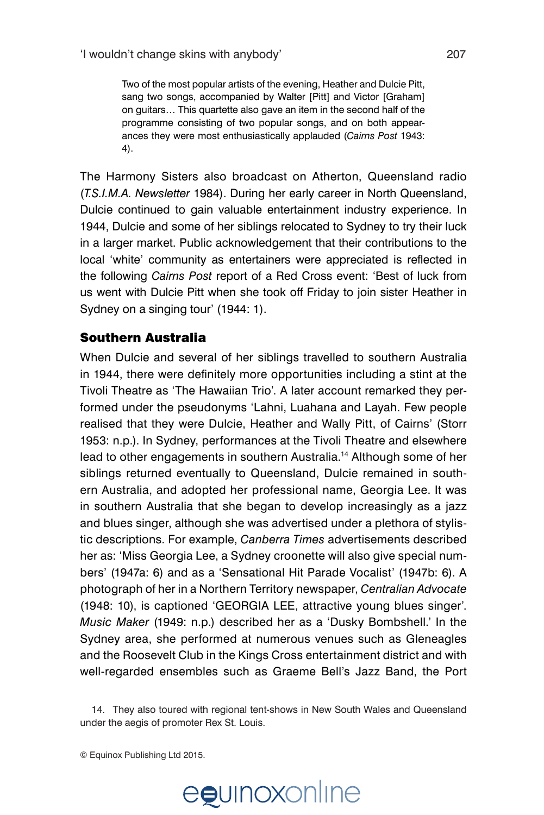Two of the most popular artists of the evening, Heather and Dulcie Pitt, sang two songs, accompanied by Walter [Pitt] and Victor [Graham] on guitars… This quartette also gave an item in the second half of the programme consisting of two popular songs, and on both appearances they were most enthusiastically applauded (*Cairns Post* 1943: 4).

The Harmony Sisters also broadcast on Atherton, Queensland radio (*T.S.I.M.A. Newsletter* 1984). During her early career in North Queensland, Dulcie continued to gain valuable entertainment industry experience. In 1944, Dulcie and some of her siblings relocated to Sydney to try their luck in a larger market. Public acknowledgement that their contributions to the local 'white' community as entertainers were appreciated is reflected in the following *Cairns Post* report of a Red Cross event: 'Best of luck from us went with Dulcie Pitt when she took off Friday to join sister Heather in Sydney on a singing tour' (1944: 1).

#### Southern Australia

When Dulcie and several of her siblings travelled to southern Australia in 1944, there were definitely more opportunities including a stint at the Tivoli Theatre as 'The Hawaiian Trio'. A later account remarked they performed under the pseudonyms 'Lahni, Luahana and Layah. Few people realised that they were Dulcie, Heather and Wally Pitt, of Cairns' (Storr 1953: n.p.). In Sydney, performances at the Tivoli Theatre and elsewhere lead to other engagements in southern Australia.<sup>14</sup> Although some of her siblings returned eventually to Queensland, Dulcie remained in southern Australia, and adopted her professional name, Georgia Lee. It was in southern Australia that she began to develop increasingly as a jazz and blues singer, although she was advertised under a plethora of stylistic descriptions. For example, *Canberra Times* advertisements described her as: 'Miss Georgia Lee, a Sydney croonette will also give special numbers' (1947a: 6) and as a 'Sensational Hit Parade Vocalist' (1947b: 6). A photograph of her in a Northern Territory newspaper, *Centralian Advocate* (1948: 10), is captioned 'GEORGIA LEE, attractive young blues singer'. *Music Maker* (1949: n.p.) described her as a 'Dusky Bombshell.' In the Sydney area, she performed at numerous venues such as Gleneagles and the Roosevelt Club in the Kings Cross entertainment district and with well-regarded ensembles such as Graeme Bell's Jazz Band, the Port

14. They also toured with regional tent-shows in New South Wales and Queensland under the aegis of promoter Rex St. Louis.

© Equinox Publishing Ltd 2015.



## egunoxonline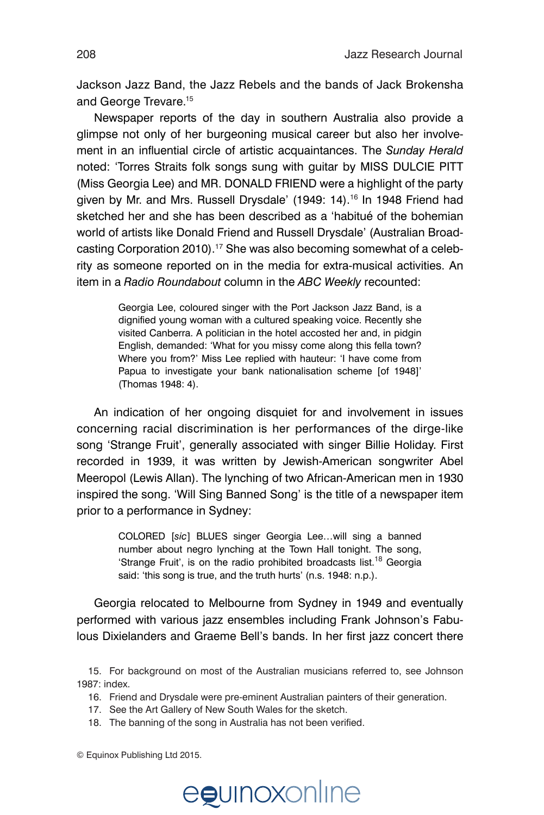Jackson Jazz Band, the Jazz Rebels and the bands of Jack Brokensha and George Trevare.<sup>15</sup>

Newspaper reports of the day in southern Australia also provide a glimpse not only of her burgeoning musical career but also her involvement in an influential circle of artistic acquaintances. The *Sunday Herald*  noted: 'Torres Straits folk songs sung with guitar by MISS DULCIE PITT (Miss Georgia Lee) and MR. DONALD FRIEND were a highlight of the party given by Mr. and Mrs. Russell Drysdale' (1949: 14).<sup>16</sup> In 1948 Friend had sketched her and she has been described as a 'habitué of the bohemian world of artists like Donald Friend and Russell Drysdale' (Australian Broadcasting Corporation 2010).<sup>17</sup> She was also becoming somewhat of a celebrity as someone reported on in the media for extra-musical activities. An item in a *Radio Roundabout* column in the *ABC Weekly* recounted:

> Georgia Lee, coloured singer with the Port Jackson Jazz Band, is a dignified young woman with a cultured speaking voice. Recently she visited Canberra. A politician in the hotel accosted her and, in pidgin English, demanded: 'What for you missy come along this fella town? Where you from?' Miss Lee replied with hauteur: 'I have come from Papua to investigate your bank nationalisation scheme [of 1948]' (Thomas 1948: 4).

An indication of her ongoing disquiet for and involvement in issues concerning racial discrimination is her performances of the dirge-like song 'Strange Fruit', generally associated with singer Billie Holiday. First recorded in 1939, it was written by Jewish-American songwriter Abel Meeropol (Lewis Allan). The lynching of two African-American men in 1930 inspired the song. 'Will Sing Banned Song' is the title of a newspaper item prior to a performance in Sydney:

> COLORED [*sic*] BLUES singer Georgia Lee…will sing a banned number about negro lynching at the Town Hall tonight. The song, 'Strange Fruit', is on the radio prohibited broadcasts list.<sup>18</sup> Georgia said: 'this song is true, and the truth hurts' (n.s. 1948: n.p.).

Georgia relocated to Melbourne from Sydney in 1949 and eventually performed with various jazz ensembles including Frank Johnson's Fabulous Dixielanders and Graeme Bell's bands. In her first jazz concert there

15. For background on most of the Australian musicians referred to, see Johnson 1987: index.

- 16. Friend and Drysdale were pre-eminent Australian painters of their generation.
- 17. See the Art Gallery of New South Wales for the sketch.
- 18. The banning of the song in Australia has not been verified.

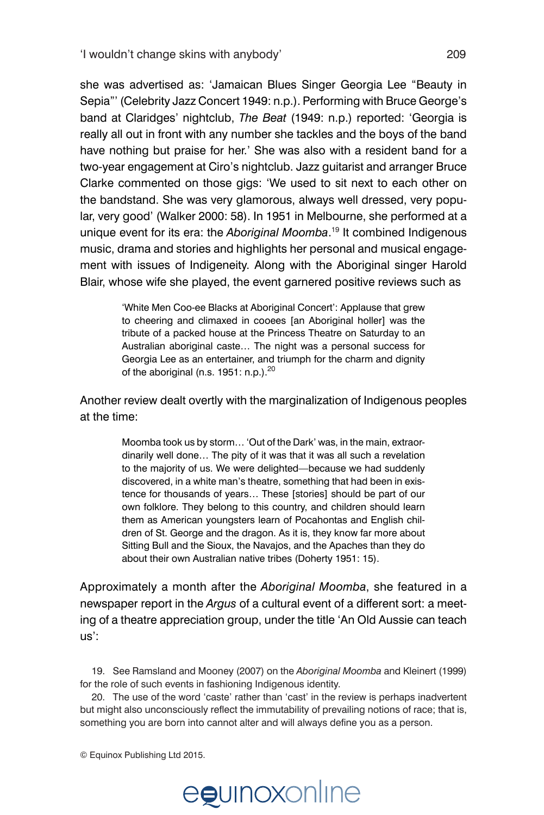she was advertised as: 'Jamaican Blues Singer Georgia Lee "Beauty in Sepia"' (Celebrity Jazz Concert 1949: n.p.). Performing with Bruce George's band at Claridges' nightclub, *The Beat* (1949: n.p.) reported: 'Georgia is really all out in front with any number she tackles and the boys of the band have nothing but praise for her.' She was also with a resident band for a two-year engagement at Ciro's nightclub. Jazz guitarist and arranger Bruce Clarke commented on those gigs: 'We used to sit next to each other on the bandstand. She was very glamorous, always well dressed, very popular, very good' (Walker 2000: 58). In 1951 in Melbourne, she performed at a unique event for its era: the *Aboriginal Moomba*. 19 It combined Indigenous music, drama and stories and highlights her personal and musical engagement with issues of Indigeneity. Along with the Aboriginal singer Harold Blair, whose wife she played, the event garnered positive reviews such as

> 'White Men Coo-ee Blacks at Aboriginal Concert': Applause that grew to cheering and climaxed in cooees [an Aboriginal holler] was the tribute of a packed house at the Princess Theatre on Saturday to an Australian aboriginal caste… The night was a personal success for Georgia Lee as an entertainer, and triumph for the charm and dignity of the aboriginal (n.s. 1951: n.p.).<sup>20</sup>

Another review dealt overtly with the marginalization of Indigenous peoples at the time:

> Moomba took us by storm… 'Out of the Dark' was, in the main, extraordinarily well done… The pity of it was that it was all such a revelation to the majority of us. We were delighted—because we had suddenly discovered, in a white man's theatre, something that had been in existence for thousands of years… These [stories] should be part of our own folklore. They belong to this country, and children should learn them as American youngsters learn of Pocahontas and English children of St. George and the dragon. As it is, they know far more about Sitting Bull and the Sioux, the Navajos, and the Apaches than they do about their own Australian native tribes (Doherty 1951: 15).

Approximately a month after the *Aboriginal Moomba*, she featured in a newspaper report in the *Argus* of a cultural event of a different sort: a meeting of a theatre appreciation group, under the title 'An Old Aussie can teach us':

19. See Ramsland and Mooney (2007) on the *Aboriginal Moomba* and Kleinert (1999) for the role of such events in fashioning Indigenous identity.

20. The use of the word 'caste' rather than 'cast' in the review is perhaps inadvertent but might also unconsciously reflect the immutability of prevailing notions of race; that is, something you are born into cannot alter and will always define you as a person.

© Equinox Publishing Ltd 2015.



## egunoxonline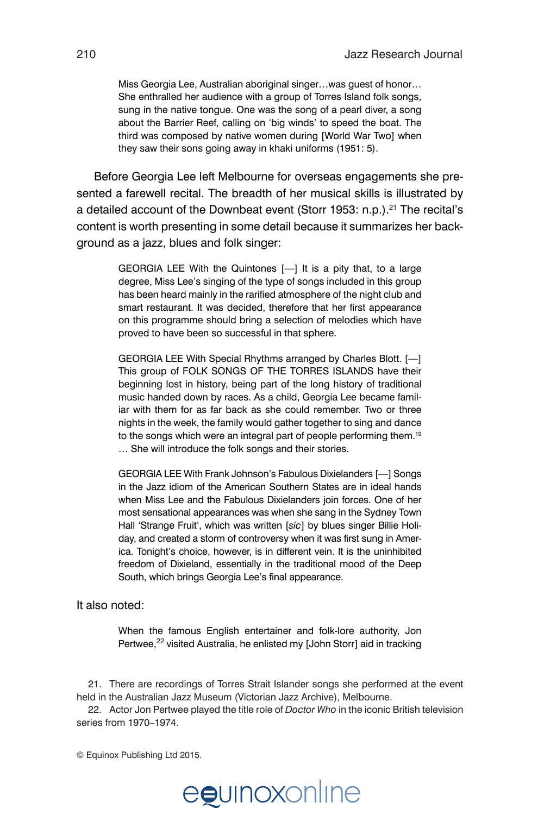Miss Georgia Lee, Australian aboriginal singer…was guest of honor… She enthralled her audience with a group of Torres Island folk songs, sung in the native tongue. One was the song of a pearl diver, a song about the Barrier Reef, calling on 'big winds' to speed the boat. The third was composed by native women during [World War Two] when they saw their sons going away in khaki uniforms (1951: 5).

Before Georgia Lee left Melbourne for overseas engagements she presented a farewell recital. The breadth of her musical skills is illustrated by a detailed account of the Downbeat event (Storr 1953: n.p.).<sup>21</sup> The recital's content is worth presenting in some detail because it summarizes her background as a jazz, blues and folk singer:

> GEORGIA LEE With the Quintones [—] It is a pity that, to a large degree, Miss Lee's singing of the type of songs included in this group has been heard mainly in the rarified atmosphere of the night club and smart restaurant. It was decided, therefore that her first appearance on this programme should bring a selection of melodies which have proved to have been so successful in that sphere.

> GEORGIA LEE With Special Rhythms arranged by Charles Blott. [—] This group of FOLK SONGS OF THE TORRES ISLANDS have their beginning lost in history, being part of the long history of traditional music handed down by races. As a child, Georgia Lee became familiar with them for as far back as she could remember. Two or three nights in the week, the family would gather together to sing and dance to the songs which were an integral part of people performing them.<sup>19</sup> … She will introduce the folk songs and their stories.

> GEORGIA LEE With Frank Johnson's Fabulous Dixielanders [—] Songs in the Jazz idiom of the American Southern States are in ideal hands when Miss Lee and the Fabulous Dixielanders join forces. One of her most sensational appearances was when she sang in the Sydney Town Hall 'Strange Fruit', which was written [*sic*] by blues singer Billie Holiday, and created a storm of controversy when it was first sung in America. Tonight's choice, however, is in different vein. It is the uninhibited freedom of Dixieland, essentially in the traditional mood of the Deep South, which brings Georgia Lee's final appearance.

It also noted:

When the famous English entertainer and folk-lore authority, Jon Pertwee,<sup>22</sup> visited Australia, he enlisted my [John Storr] aid in tracking

21. There are recordings of Torres Strait Islander songs she performed at the event held in the Australian Jazz Museum (Victorian Jazz Archive), Melbourne.

22. Actor Jon Pertwee played the title role of *Doctor Who* in the iconic British television series from 1970–1974.



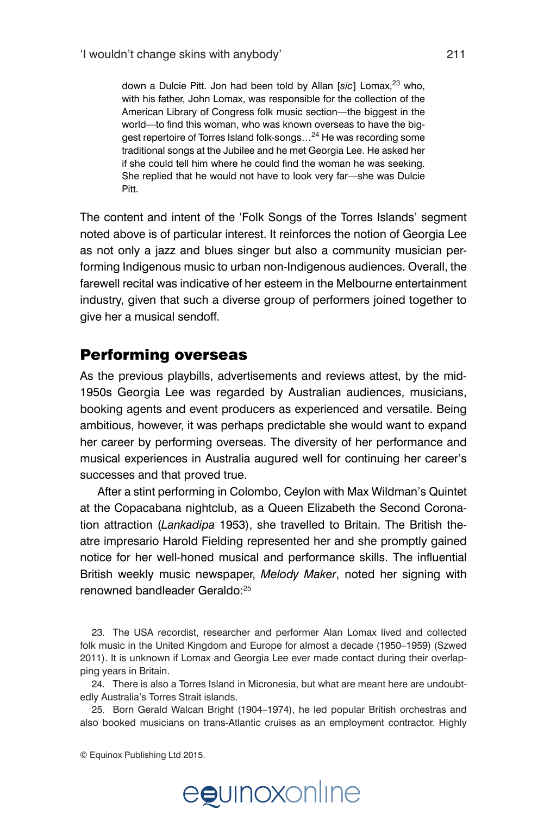down a Dulcie Pitt. Jon had been told by Allan [sic] Lomax,<sup>23</sup> who, with his father, John Lomax, was responsible for the collection of the American Library of Congress folk music section—the biggest in the world—to find this woman, who was known overseas to have the biggest repertoire of Torres Island folk-songs...<sup>24</sup> He was recording some traditional songs at the Jubilee and he met Georgia Lee. He asked her if she could tell him where he could find the woman he was seeking. She replied that he would not have to look very far—she was Dulcie Pitt.

The content and intent of the 'Folk Songs of the Torres Islands' segment noted above is of particular interest. It reinforces the notion of Georgia Lee as not only a jazz and blues singer but also a community musician performing Indigenous music to urban non-Indigenous audiences. Overall, the farewell recital was indicative of her esteem in the Melbourne entertainment industry, given that such a diverse group of performers joined together to give her a musical sendoff.

#### Performing overseas

As the previous playbills, advertisements and reviews attest, by the mid-1950s Georgia Lee was regarded by Australian audiences, musicians, booking agents and event producers as experienced and versatile. Being ambitious, however, it was perhaps predictable she would want to expand her career by performing overseas. The diversity of her performance and musical experiences in Australia augured well for continuing her career's successes and that proved true.

After a stint performing in Colombo, Ceylon with Max Wildman's Quintet at the Copacabana nightclub, as a Queen Elizabeth the Second Coronation attraction (*Lankadipa* 1953), she travelled to Britain. The British theatre impresario Harold Fielding represented her and she promptly gained notice for her well-honed musical and performance skills. The influential British weekly music newspaper, *Melody Maker*, noted her signing with renowned bandleader Geraldo:<sup>25</sup>

23. The USA recordist, researcher and performer Alan Lomax lived and collected folk music in the United Kingdom and Europe for almost a decade (1950–1959) (Szwed 2011). It is unknown if Lomax and Georgia Lee ever made contact during their overlapping years in Britain.

24. There is also a Torres Island in Micronesia, but what are meant here are undoubtedly Australia's Torres Strait islands.

25. Born Gerald Walcan Bright (1904–1974), he led popular British orchestras and also booked musicians on trans-Atlantic cruises as an employment contractor. Highly

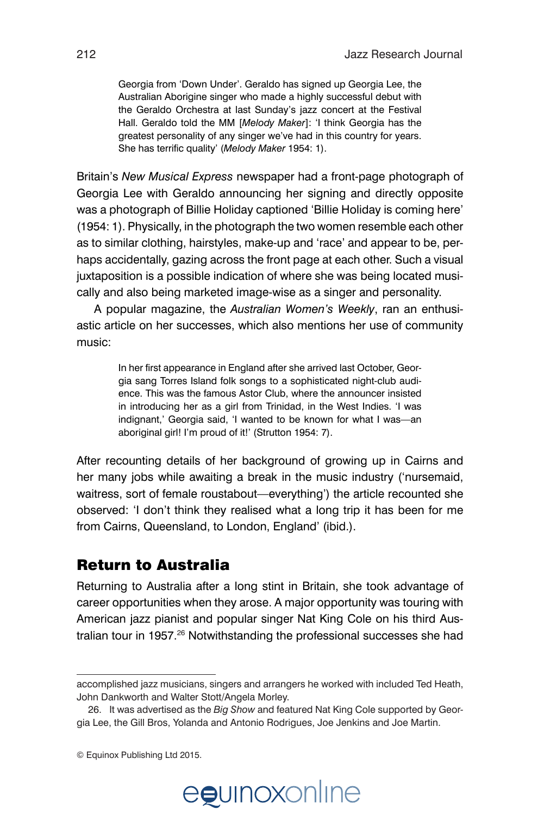Georgia from 'Down Under'. Geraldo has signed up Georgia Lee, the Australian Aborigine singer who made a highly successful debut with the Geraldo Orchestra at last Sunday's jazz concert at the Festival Hall. Geraldo told the MM [*Melody Maker*]: 'I think Georgia has the greatest personality of any singer we've had in this country for years. She has terrific quality' (*Melody Maker* 1954: 1).

Britain's *New Musical Express* newspaper had a front-page photograph of Georgia Lee with Geraldo announcing her signing and directly opposite was a photograph of Billie Holiday captioned 'Billie Holiday is coming here' (1954: 1). Physically, in the photograph the two women resemble each other as to similar clothing, hairstyles, make-up and 'race' and appear to be, perhaps accidentally, gazing across the front page at each other. Such a visual juxtaposition is a possible indication of where she was being located musically and also being marketed image-wise as a singer and personality.

A popular magazine, the *Australian Women's Weekly*, ran an enthusiastic article on her successes, which also mentions her use of community music:

> In her first appearance in England after she arrived last October, Georgia sang Torres Island folk songs to a sophisticated night-club audience. This was the famous Astor Club, where the announcer insisted in introducing her as a girl from Trinidad, in the West Indies. 'I was indignant,' Georgia said, 'I wanted to be known for what I was—an aboriginal girl! I'm proud of it!' (Strutton 1954: 7).

After recounting details of her background of growing up in Cairns and her many jobs while awaiting a break in the music industry ('nursemaid, waitress, sort of female roustabout—everything') the article recounted she observed: 'I don't think they realised what a long trip it has been for me from Cairns, Queensland, to London, England' (ibid.).

#### Return to Australia

Returning to Australia after a long stint in Britain, she took advantage of career opportunities when they arose. A major opportunity was touring with American jazz pianist and popular singer Nat King Cole on his third Australian tour in 1957.<sup>26</sup> Notwithstanding the professional successes she had

<sup>©</sup> Equinox Publishing Ltd 2015.



accomplished jazz musicians, singers and arrangers he worked with included Ted Heath, John Dankworth and Walter Stott/Angela Morley.

<sup>26.</sup> It was advertised as the *Big Show* and featured Nat King Cole supported by Georgia Lee, the Gill Bros, Yolanda and Antonio Rodrigues, Joe Jenkins and Joe Martin.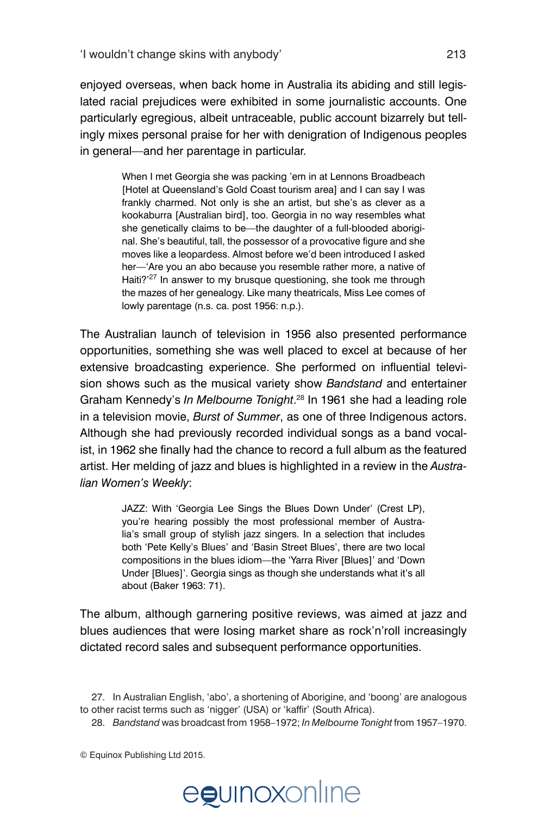enjoyed overseas, when back home in Australia its abiding and still legislated racial prejudices were exhibited in some journalistic accounts. One particularly egregious, albeit untraceable, public account bizarrely but tellingly mixes personal praise for her with denigration of Indigenous peoples in general—and her parentage in particular.

> When I met Georgia she was packing 'em in at Lennons Broadbeach [Hotel at Queensland's Gold Coast tourism area] and I can say I was frankly charmed. Not only is she an artist, but she's as clever as a kookaburra [Australian bird], too. Georgia in no way resembles what she genetically claims to be—the daughter of a full-blooded aboriginal. She's beautiful, tall, the possessor of a provocative figure and she moves like a leopardess. Almost before we'd been introduced I asked her—'Are you an abo because you resemble rather more, a native of Haiti?<sup>'27</sup> In answer to my brusque questioning, she took me through the mazes of her genealogy. Like many theatricals, Miss Lee comes of lowly parentage (n.s. ca. post 1956: n.p.).

The Australian launch of television in 1956 also presented performance opportunities, something she was well placed to excel at because of her extensive broadcasting experience. She performed on influential television shows such as the musical variety show *Bandstand* and entertainer Graham Kennedy's *In Melbourne Tonight*. <sup>28</sup> In 1961 she had a leading role in a television movie, *Burst of Summer*, as one of three Indigenous actors. Although she had previously recorded individual songs as a band vocalist, in 1962 she finally had the chance to record a full album as the featured artist. Her melding of jazz and blues is highlighted in a review in the *Australian Women's Weekly*:

> JAZZ: With 'Georgia Lee Sings the Blues Down Under' (Crest LP), you're hearing possibly the most professional member of Australia's small group of stylish jazz singers. In a selection that includes both 'Pete Kelly's Blues' and 'Basin Street Blues', there are two local compositions in the blues idiom—the 'Yarra River [Blues]' and 'Down Under [Blues]'. Georgia sings as though she understands what it's all about (Baker 1963: 71).

The album, although garnering positive reviews, was aimed at jazz and blues audiences that were losing market share as rock'n'roll increasingly dictated record sales and subsequent performance opportunities.

27. In Australian English, 'abo', a shortening of Aborigine, and 'boong' are analogous to other racist terms such as 'nigger' (USA) or 'kaffir' (South Africa).

28. *Bandstand* was broadcast from 1958–1972; *In Melbourne Tonight* from 1957–1970.

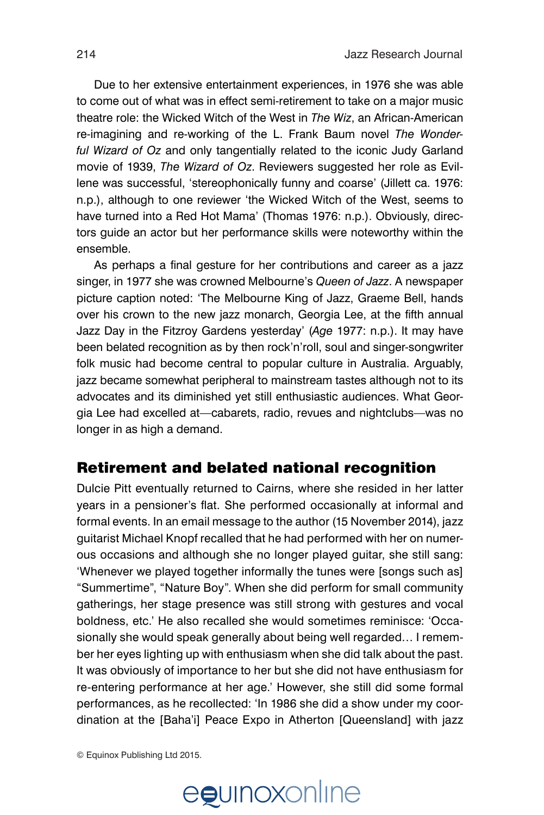Due to her extensive entertainment experiences, in 1976 she was able to come out of what was in effect semi-retirement to take on a major music theatre role: the Wicked Witch of the West in *The Wiz*, an African-American re-imagining and re-working of the L. Frank Baum novel *The Wonderful Wizard of Oz* and only tangentially related to the iconic Judy Garland movie of 1939, *The Wizard of Oz*. Reviewers suggested her role as Evillene was successful, 'stereophonically funny and coarse' (Jillett ca. 1976: n.p.), although to one reviewer 'the Wicked Witch of the West, seems to have turned into a Red Hot Mama' (Thomas 1976: n.p.). Obviously, directors guide an actor but her performance skills were noteworthy within the ensemble.

As perhaps a final gesture for her contributions and career as a jazz singer, in 1977 she was crowned Melbourne's *Queen of Jazz*. A newspaper picture caption noted: 'The Melbourne King of Jazz, Graeme Bell, hands over his crown to the new jazz monarch, Georgia Lee, at the fifth annual Jazz Day in the Fitzroy Gardens yesterday' (*Age* 1977: n.p.). It may have been belated recognition as by then rock'n'roll, soul and singer-songwriter folk music had become central to popular culture in Australia. Arguably, jazz became somewhat peripheral to mainstream tastes although not to its advocates and its diminished yet still enthusiastic audiences. What Georgia Lee had excelled at—cabarets, radio, revues and nightclubs—was no longer in as high a demand.

#### Retirement and belated national recognition

Dulcie Pitt eventually returned to Cairns, where she resided in her latter years in a pensioner's flat. She performed occasionally at informal and formal events. In an email message to the author (15 November 2014), jazz guitarist Michael Knopf recalled that he had performed with her on numerous occasions and although she no longer played guitar, she still sang: 'Whenever we played together informally the tunes were [songs such as] "Summertime", "Nature Boy". When she did perform for small community gatherings, her stage presence was still strong with gestures and vocal boldness, etc.' He also recalled she would sometimes reminisce: 'Occasionally she would speak generally about being well regarded… I remember her eyes lighting up with enthusiasm when she did talk about the past. It was obviously of importance to her but she did not have enthusiasm for re-entering performance at her age.' However, she still did some formal performances, as he recollected: 'In 1986 she did a show under my coordination at the [Baha'i] Peace Expo in Atherton [Queensland] with jazz

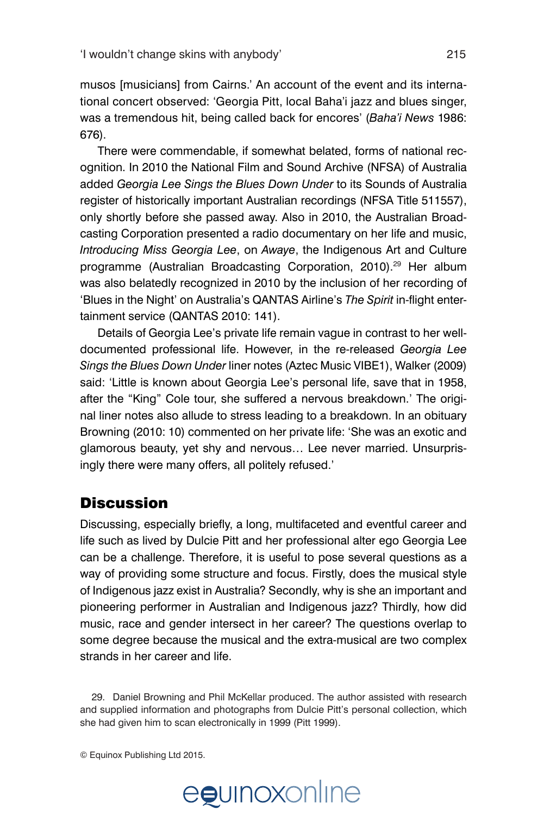musos [musicians] from Cairns.' An account of the event and its international concert observed: 'Georgia Pitt, local Baha'i jazz and blues singer, was a tremendous hit, being called back for encores' (*Baha'i News* 1986: 676).

There were commendable, if somewhat belated, forms of national recognition. In 2010 the National Film and Sound Archive (NFSA) of Australia added *Georgia Lee Sings the Blues Down Under* to its Sounds of Australia register of historically important Australian recordings (NFSA Title 511557), only shortly before she passed away. Also in 2010, the Australian Broadcasting Corporation presented a radio documentary on her life and music, *Introducing Miss Georgia Lee*, on *Awaye*, the Indigenous Art and Culture programme (Australian Broadcasting Corporation, 2010).<sup>29</sup> Her album was also belatedly recognized in 2010 by the inclusion of her recording of 'Blues in the Night' on Australia's QANTAS Airline's *The Spirit* in-flight entertainment service (QANTAS 2010: 141).

Details of Georgia Lee's private life remain vague in contrast to her welldocumented professional life. However, in the re-released *Georgia Lee Sings the Blues Down Under* liner notes (Aztec Music VIBE1), Walker (2009) said: 'Little is known about Georgia Lee's personal life, save that in 1958, after the "King" Cole tour, she suffered a nervous breakdown.' The original liner notes also allude to stress leading to a breakdown. In an obituary Browning (2010: 10) commented on her private life: 'She was an exotic and glamorous beauty, yet shy and nervous… Lee never married. Unsurprisingly there were many offers, all politely refused.'

#### **Discussion**

Discussing, especially briefly, a long, multifaceted and eventful career and life such as lived by Dulcie Pitt and her professional alter ego Georgia Lee can be a challenge. Therefore, it is useful to pose several questions as a way of providing some structure and focus. Firstly, does the musical style of Indigenous jazz exist in Australia? Secondly, why is she an important and pioneering performer in Australian and Indigenous jazz? Thirdly, how did music, race and gender intersect in her career? The questions overlap to some degree because the musical and the extra-musical are two complex strands in her career and life.

29. Daniel Browning and Phil McKellar produced. The author assisted with research and supplied information and photographs from Dulcie Pitt's personal collection, which she had given him to scan electronically in 1999 (Pitt 1999).

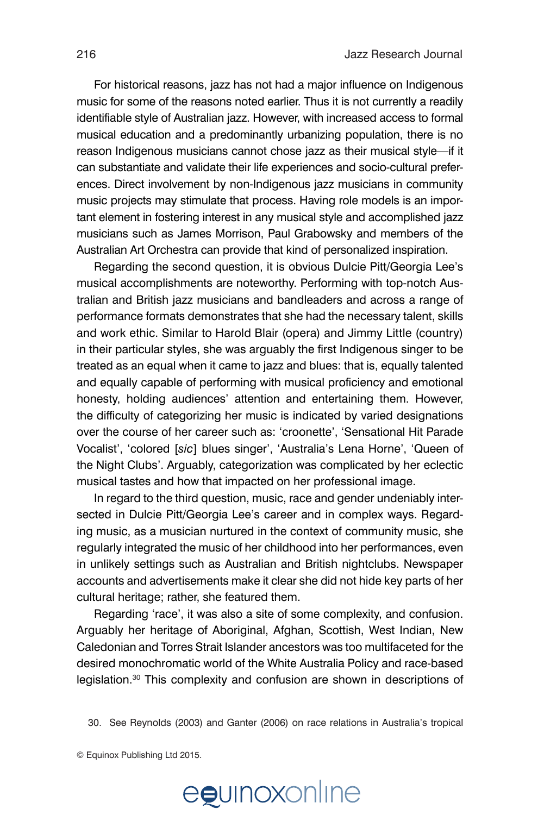For historical reasons, jazz has not had a major influence on Indigenous music for some of the reasons noted earlier. Thus it is not currently a readily identifiable style of Australian jazz. However, with increased access to formal musical education and a predominantly urbanizing population, there is no reason Indigenous musicians cannot chose jazz as their musical style—if it can substantiate and validate their life experiences and socio-cultural preferences. Direct involvement by non-Indigenous jazz musicians in community music projects may stimulate that process. Having role models is an important element in fostering interest in any musical style and accomplished jazz musicians such as James Morrison, Paul Grabowsky and members of the Australian Art Orchestra can provide that kind of personalized inspiration.

Regarding the second question, it is obvious Dulcie Pitt/Georgia Lee's musical accomplishments are noteworthy. Performing with top-notch Australian and British jazz musicians and bandleaders and across a range of performance formats demonstrates that she had the necessary talent, skills and work ethic. Similar to Harold Blair (opera) and Jimmy Little (country) in their particular styles, she was arguably the first Indigenous singer to be treated as an equal when it came to jazz and blues: that is, equally talented and equally capable of performing with musical proficiency and emotional honesty, holding audiences' attention and entertaining them. However, the difficulty of categorizing her music is indicated by varied designations over the course of her career such as: 'croonette', 'Sensational Hit Parade Vocalist', 'colored [*sic*] blues singer', 'Australia's Lena Horne', 'Queen of the Night Clubs'. Arguably, categorization was complicated by her eclectic musical tastes and how that impacted on her professional image.

In regard to the third question, music, race and gender undeniably intersected in Dulcie Pitt/Georgia Lee's career and in complex ways. Regarding music, as a musician nurtured in the context of community music, she regularly integrated the music of her childhood into her performances, even in unlikely settings such as Australian and British nightclubs. Newspaper accounts and advertisements make it clear she did not hide key parts of her cultural heritage; rather, she featured them.

Regarding 'race', it was also a site of some complexity, and confusion. Arguably her heritage of Aboriginal, Afghan, Scottish, West Indian, New Caledonian and Torres Strait Islander ancestors was too multifaceted for the desired monochromatic world of the White Australia Policy and race-based legislation.<sup>30</sup> This complexity and confusion are shown in descriptions of





<sup>30.</sup> See Reynolds (2003) and Ganter (2006) on race relations in Australia's tropical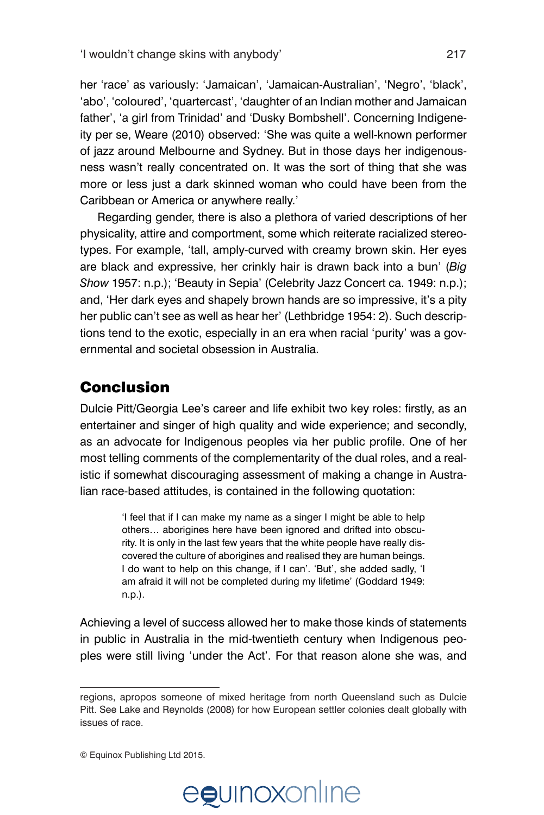her 'race' as variously: 'Jamaican', 'Jamaican-Australian', 'Negro', 'black', 'abo', 'coloured', 'quartercast', 'daughter of an Indian mother and Jamaican father', 'a girl from Trinidad' and 'Dusky Bombshell'. Concerning Indigeneity per se, Weare (2010) observed: 'She was quite a well-known performer of jazz around Melbourne and Sydney. But in those days her indigenousness wasn't really concentrated on. It was the sort of thing that she was more or less just a dark skinned woman who could have been from the Caribbean or America or anywhere really.'

Regarding gender, there is also a plethora of varied descriptions of her physicality, attire and comportment, some which reiterate racialized stereotypes. For example, 'tall, amply-curved with creamy brown skin. Her eyes are black and expressive, her crinkly hair is drawn back into a bun' (*Big Show* 1957: n.p.); 'Beauty in Sepia' (Celebrity Jazz Concert ca. 1949: n.p.); and, 'Her dark eyes and shapely brown hands are so impressive, it's a pity her public can't see as well as hear her' (Lethbridge 1954: 2). Such descriptions tend to the exotic, especially in an era when racial 'purity' was a governmental and societal obsession in Australia.

## Conclusion

Dulcie Pitt/Georgia Lee's career and life exhibit two key roles: firstly, as an entertainer and singer of high quality and wide experience; and secondly, as an advocate for Indigenous peoples via her public profile. One of her most telling comments of the complementarity of the dual roles, and a realistic if somewhat discouraging assessment of making a change in Australian race-based attitudes, is contained in the following quotation:

> 'I feel that if I can make my name as a singer I might be able to help others… aborigines here have been ignored and drifted into obscurity. It is only in the last few years that the white people have really discovered the culture of aborigines and realised they are human beings. I do want to help on this change, if I can'. 'But', she added sadly, 'I am afraid it will not be completed during my lifetime' (Goddard 1949: n.p.).

Achieving a level of success allowed her to make those kinds of statements in public in Australia in the mid-twentieth century when Indigenous peoples were still living 'under the Act'. For that reason alone she was, and

<sup>©</sup> Equinox Publishing Ltd 2015.



regions, apropos someone of mixed heritage from north Queensland such as Dulcie Pitt. See Lake and Reynolds (2008) for how European settler colonies dealt globally with issues of race.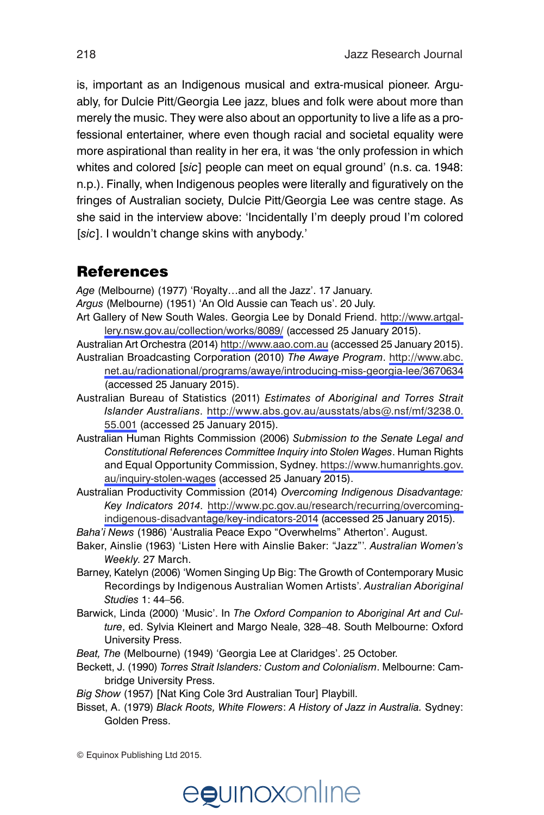is, important as an Indigenous musical and extra-musical pioneer. Arguably, for Dulcie Pitt/Georgia Lee jazz, blues and folk were about more than merely the music. They were also about an opportunity to live a life as a professional entertainer, where even though racial and societal equality were more aspirational than reality in her era, it was 'the only profession in which whites and colored [*sic*] people can meet on equal ground' (n.s. ca. 1948: n.p.). Finally, when Indigenous peoples were literally and figuratively on the fringes of Australian society, Dulcie Pitt/Georgia Lee was centre stage. As she said in the interview above: 'Incidentally I'm deeply proud I'm colored [*sic*]. I wouldn't change skins with anybody.'

### References

*Age* (Melbourne) (1977) 'Royalty…and all the Jazz'. 17 January.

- *Argus* (Melbourne) (1951) 'An Old Aussie can Teach us'. 20 July.
- Art Gallery of New South Wales. Georgia Lee by Donald Friend. [http://www.artgal](http://www.artgallery.nsw.gov.au/collection/works/8089/)[lery.nsw.gov.au/collection/works/8089/](http://www.artgallery.nsw.gov.au/collection/works/8089/) (accessed 25 January 2015).
- Australian Art Orchestra (2014)<http://www.aao.com.au> (accessed 25 January 2015). Australian Broadcasting Corporation (2010) *The Awaye Program*. [http://www.abc.](http://www.abc.net.au/radionational/programs/awaye/introducing-miss-georgia-lee/3670634) [net.au/radionational/programs/awaye/introducing-miss-georgia-lee/3670634](http://www.abc.net.au/radionational/programs/awaye/introducing-miss-georgia-lee/3670634) (accessed 25 January 2015).
- Australian Bureau of Statistics (2011) *Estimates of Aboriginal and Torres Strait Islander Australians*. [http://www.abs.gov.au/ausstats/abs@.nsf/mf/3238.0.](http://www.abs.gov.au/ausstats/abs@.nsf/mf/3238.0.55.001) [55.001](http://www.abs.gov.au/ausstats/abs@.nsf/mf/3238.0.55.001) (accessed 25 January 2015).
- Australian Human Rights Commission (2006) *Submission to the Senate Legal and Constitutional References Committee Inquiry into Stolen Wages*. Human Rights and Equal Opportunity Commission, Sydney. [https://www.humanrights.gov.](https://www.humanrights.gov.au/inquiry-stolen-wages) [au/inquiry-stolen-wages](https://www.humanrights.gov.au/inquiry-stolen-wages) (accessed 25 January 2015).
- Australian Productivity Commission (2014) *Overcoming Indigenous Disadvantage: Key Indicators 2014*. [http://www.pc.gov.au/research/recurring/overcoming](http://www.pc.gov.au/research/recurring/overcoming-indigenous-disadvantage/key-indicators-2014)[indigenous-disadvantage/key-indicators-2014](http://www.pc.gov.au/research/recurring/overcoming-indigenous-disadvantage/key-indicators-2014) (accessed 25 January 2015).
- *Baha'i News* (1986) 'Australia Peace Expo "Overwhelms" Atherton'. August.
- Baker, Ainslie (1963) 'Listen Here with Ainslie Baker: "Jazz"'. *Australian Women's Weekly*. 27 March.
- Barney, Katelyn (2006) 'Women Singing Up Big: The Growth of Contemporary Music Recordings by Indigenous Australian Women Artists'. *Australian Aboriginal Studies* 1: 44–56.
- Barwick, Linda (2000) 'Music'. In *The Oxford Companion to Aboriginal Art and Culture*, ed. Sylvia Kleinert and Margo Neale, 328–48. South Melbourne: Oxford University Press.
- *Beat, The* (Melbourne) (1949) 'Georgia Lee at Claridges'. 25 October.
- Beckett, J. (1990) *Torres Strait Islanders: Custom and Colonialism*. Melbourne: Cambridge University Press.
- *Big Show* (1957) [Nat King Cole 3rd Australian Tour] Playbill.
- Bisset, A. (1979) *Black Roots, White Flowers*: *A History of Jazz in Australia.* Sydney: Golden Press.

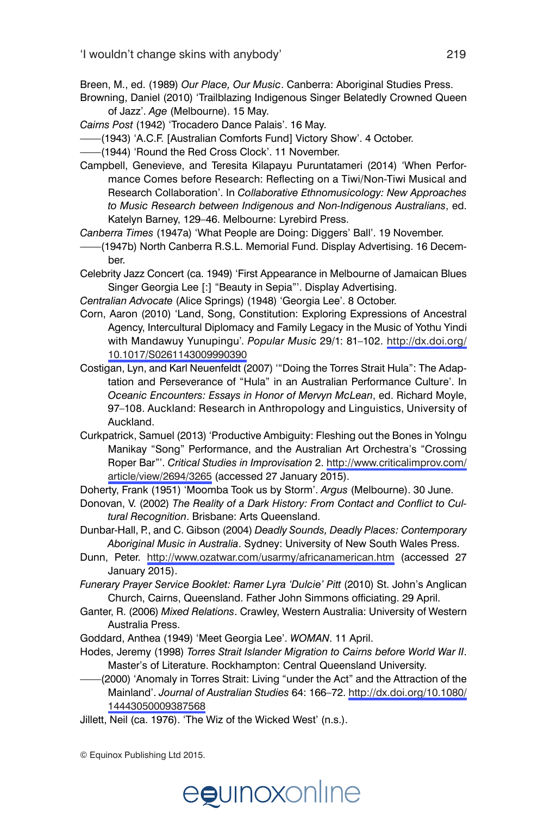Breen, M., ed. (1989) *Our Place, Our Music*. Canberra: Aboriginal Studies Press.

Browning, Daniel (2010) 'Trailblazing Indigenous Singer Belatedly Crowned Queen of Jazz'. *Age* (Melbourne). 15 May.

*Cairns Post* (1942) 'Trocadero Dance Palais'. 16 May.

- ——(1943) 'A.C.F. [Australian Comforts Fund] Victory Show'. 4 October.
- ——(1944) 'Round the Red Cross Clock'. 11 November.
- Campbell, Genevieve, and Teresita Kilapayu Puruntatameri (2014) 'When Performance Comes before Research: Reflecting on a Tiwi/Non-Tiwi Musical and Research Collaboration'. In *Collaborative Ethnomusicology: New Approaches to Music Research between Indigenous and Non-Indigenous Australians*, ed. Katelyn Barney, 129–46. Melbourne: Lyrebird Press.

*Canberra Times* (1947a) 'What People are Doing: Diggers' Ball'. 19 November.

——(1947b) North Canberra R.S.L. Memorial Fund. Display Advertising. 16 December.

Celebrity Jazz Concert (ca. 1949) 'First Appearance in Melbourne of Jamaican Blues Singer Georgia Lee [:] "Beauty in Sepia"'. Display Advertising.

*Centralian Advocate* (Alice Springs) (1948) 'Georgia Lee'. 8 October.

- Corn, Aaron (2010) 'Land, Song, Constitution: Exploring Expressions of Ancestral Agency, Intercultural Diplomacy and Family Legacy in the Music of Yothu Yindi with Mandawuy Yunupingu'. *Popular Musi*c 29/1: 81–102. [http://dx.doi.org/](http://dx.doi.org/10.1017/S0261143009990390) [10.1017/S0261143009990390](http://dx.doi.org/10.1017/S0261143009990390)
- Costigan, Lyn, and Karl Neuenfeldt (2007) '"Doing the Torres Strait Hula": The Adaptation and Perseverance of "Hula" in an Australian Performance Culture'. In *Oceanic Encounters: Essays in Honor of Mervyn McLean*, ed. Richard Moyle, 97–108. Auckland: Research in Anthropology and Linguistics, University of Auckland.
- Curkpatrick, Samuel (2013) 'Productive Ambiguity: Fleshing out the Bones in Yolngu Manikay "Song" Performance, and the Australian Art Orchestra's "Crossing Roper Bar"'. *Critical Studies in Improvisation* 2. [http://www.criticalimprov.com/](http://www.criticalimprov.com/article/view/2694/3265) [article/view/2694/3265](http://www.criticalimprov.com/article/view/2694/3265) (accessed 27 January 2015).

Doherty, Frank (1951) 'Moomba Took us by Storm'. *Argus* (Melbourne). 30 June.

Donovan, V. (2002) *The Reality of a Dark History: From Contact and Conflict to Cultural Recognition*. Brisbane: Arts Queensland.

Dunbar-Hall, P., and C. Gibson (2004) *Deadly Sounds, Deadly Places: Contemporary Aboriginal Music in Australia*. Sydney: University of New South Wales Press.

- Dunn, Peter. <http://www.ozatwar.com/usarmy/africanamerican.htm> (accessed 27 January 2015).
- *Funerary Prayer Service Booklet: Ramer Lyra 'Dulcie' Pitt* (2010) St. John's Anglican Church, Cairns, Queensland. Father John Simmons officiating. 29 April.
- Ganter, R. (2006) *Mixed Relations*. Crawley, Western Australia: University of Western Australia Press.

Goddard, Anthea (1949) 'Meet Georgia Lee'. *WOMAN*. 11 April.

Hodes, Jeremy (1998) *Torres Strait Islander Migration to Cairns before World War II*. Master's of Literature. Rockhampton: Central Queensland University.

- ——(2000) 'Anomaly in Torres Strait: Living "under the Act" and the Attraction of the Mainland'. *Journal of Australian Studies* 64: 166–72. [http://dx.doi.org/10.1080/](http://dx.doi.org/10.1080/14443050009387568) [14443050009387568](http://dx.doi.org/10.1080/14443050009387568)
- Jillett, Neil (ca. 1976). 'The Wiz of the Wicked West' (n.s.).

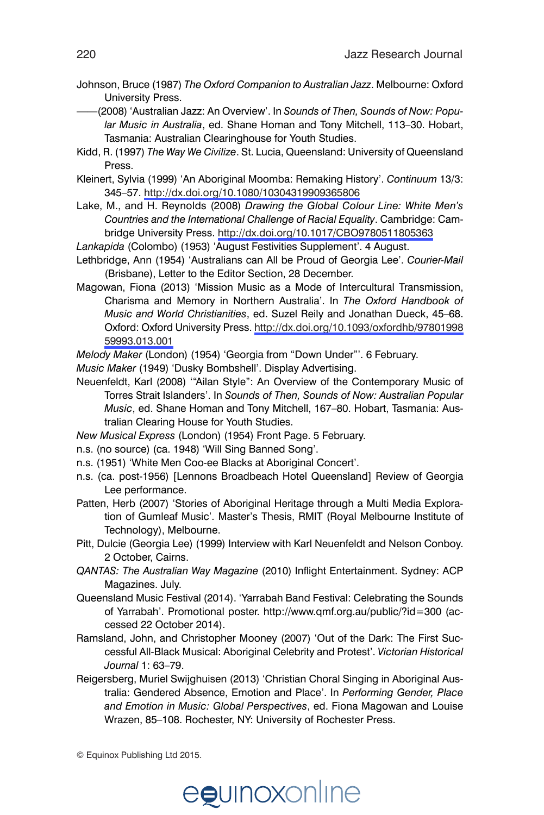- Johnson, Bruce (1987) *The Oxford Companion to Australian Jazz*. Melbourne: Oxford University Press.
- ——(2008) 'Australian Jazz: An Overview'. In *Sounds of Then, Sounds of Now: Popular Music in Australia*, ed. Shane Homan and Tony Mitchell, 113–30. Hobart, Tasmania: Australian Clearinghouse for Youth Studies.
- Kidd, R. (1997) *The Way We Civilize*. St. Lucia, Queensland: University of Queensland Press.
- Kleinert, Sylvia (1999) 'An Aboriginal Moomba: Remaking History'. *Continuum* 13/3: 345–57.<http://dx.doi.org/10.1080/10304319909365806>
- Lake, M., and H. Reynolds (2008) *Drawing the Global Colour Line: White Men's Countries and the International Challenge of Racial Equality*. Cambridge: Cambridge University Press.<http://dx.doi.org/10.1017/CBO9780511805363>
- *Lankapida* (Colombo) (1953) 'August Festivities Supplement'. 4 August.
- Lethbridge, Ann (1954) 'Australians can All be Proud of Georgia Lee'. *Courier-Mail* (Brisbane), Letter to the Editor Section, 28 December.
- Magowan, Fiona (2013) 'Mission Music as a Mode of Intercultural Transmission, Charisma and Memory in Northern Australia'. In *The Oxford Handbook of Music and World Christianities*, ed. Suzel Reily and Jonathan Dueck, 45–68. Oxford: Oxford University Press. [http://dx.doi.org/10.1093/oxfordhb/97801998](http://dx.doi.org/10.1093/oxfordhb/9780199859993.013.001) [59993.013.001](http://dx.doi.org/10.1093/oxfordhb/9780199859993.013.001)
- *Melody Maker* (London) (1954) 'Georgia from "Down Under"'. 6 February.

*Music Maker* (1949) 'Dusky Bombshell'. Display Advertising.

- Neuenfeldt, Karl (2008) '"Ailan Style": An Overview of the Contemporary Music of Torres Strait Islanders'. In *Sounds of Then, Sounds of Now: Australian Popular Music*, ed. Shane Homan and Tony Mitchell, 167–80. Hobart, Tasmania: Australian Clearing House for Youth Studies.
- *New Musical Express* (London) (1954) Front Page. 5 February.
- n.s. (no source) (ca. 1948) 'Will Sing Banned Song'.
- n.s. (1951) 'White Men Coo-ee Blacks at Aboriginal Concert'.
- n.s. (ca. post-1956) [Lennons Broadbeach Hotel Queensland] Review of Georgia Lee performance.
- Patten, Herb (2007) 'Stories of Aboriginal Heritage through a Multi Media Exploration of Gumleaf Music'. Master's Thesis, RMIT (Royal Melbourne Institute of Technology), Melbourne.
- Pitt, Dulcie (Georgia Lee) (1999) Interview with Karl Neuenfeldt and Nelson Conboy. 2 October, Cairns.
- *QANTAS: The Australian Way Magazine* (2010) Inflight Entertainment. Sydney: ACP Magazines. July.
- Queensland Music Festival (2014). 'Yarrabah Band Festival: Celebrating the Sounds of Yarrabah'. Promotional poster. http://www.qmf.org.au/public/?id=300 (accessed 22 October 2014).
- Ramsland, John, and Christopher Mooney (2007) 'Out of the Dark: The First Successful All-Black Musical: Aboriginal Celebrity and Protest'. *Victorian Historical Journal* 1: 63–79.
- Reigersberg, Muriel Swijghuisen (2013) 'Christian Choral Singing in Aboriginal Australia: Gendered Absence, Emotion and Place'. In *Performing Gender, Place and Emotion in Music: Global Perspectives*, ed. Fiona Magowan and Louise Wrazen, 85–108. Rochester, NY: University of Rochester Press.

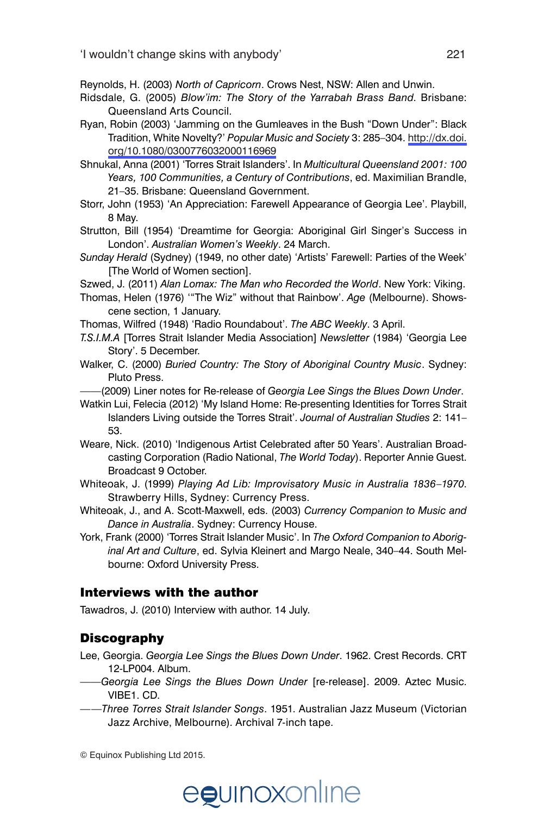Reynolds, H. (2003) *North of Capricorn*. Crows Nest, NSW: Allen and Unwin.

- Ridsdale, G. (2005) *Blow'im: The Story of the Yarrabah Brass Band*. Brisbane: Queensland Arts Council.
- Ryan, Robin (2003) 'Jamming on the Gumleaves in the Bush "Down Under": Black Tradition, White Novelty?' *Popular Music and Society* 3: 285–304. [http://dx.doi.](http://dx.doi.org/10.1080/0300776032000116969) [org/10.1080/0300776032000116969](http://dx.doi.org/10.1080/0300776032000116969)
- Shnukal, Anna (2001) 'Torres Strait Islanders'. In *Multicultural Queensland 2001: 100 Years, 100 Communities, a Century of Contributions*, ed. Maximilian Brandle, 21–35. Brisbane: Queensland Government.
- Storr, John (1953) 'An Appreciation: Farewell Appearance of Georgia Lee'. Playbill, 8 May.
- Strutton, Bill (1954) 'Dreamtime for Georgia: Aboriginal Girl Singer's Success in London'. *Australian Women's Weekly*. 24 March.
- *Sunday Herald* (Sydney) (1949, no other date) 'Artists' Farewell: Parties of the Week' [The World of Women section].
- Szwed, J. (2011) *Alan Lomax: The Man who Recorded the World*. New York: Viking.
- Thomas, Helen (1976) '"The Wiz" without that Rainbow'. *Age* (Melbourne). Showscene section, 1 January.
- Thomas, Wilfred (1948) 'Radio Roundabout'. *The ABC Weekly*. 3 April.
- *T.S.I.M.A* [Torres Strait Islander Media Association] *Newsletter* (1984) 'Georgia Lee Story'. 5 December.
- Walker, C. (2000) *Buried Country: The Story of Aboriginal Country Music*. Sydney: Pluto Press.

——(2009) Liner notes for Re-release of *Georgia Lee Sings the Blues Down Under*.

- Watkin Lui, Felecia (2012) 'My Island Home: Re-presenting Identities for Torres Strait Islanders Living outside the Torres Strait'. *Journal of Australian Studies* 2: 141– 53.
- Weare, Nick. (2010) 'Indigenous Artist Celebrated after 50 Years'. Australian Broadcasting Corporation (Radio National, *The World Today*). Reporter Annie Guest. Broadcast 9 October.
- Whiteoak, J. (1999) *Playing Ad Lib: Improvisatory Music in Australia 1836–1970*. Strawberry Hills, Sydney: Currency Press.
- Whiteoak, J., and A. Scott-Maxwell, eds. (2003) *Currency Companion to Music and Dance in Australia*. Sydney: Currency House.
- York, Frank (2000) 'Torres Strait Islander Music'. In *The Oxford Companion to Aboriginal Art and Culture*, ed. Sylvia Kleinert and Margo Neale, 340–44. South Melbourne: Oxford University Press.

#### Interviews with the author

Tawadros, J. (2010) Interview with author. 14 July.

#### **Discography**

- Lee, Georgia. *Georgia Lee Sings the Blues Down Under*. 1962. Crest Records. CRT 12-LP004. Album.
- ——*Georgia Lee Sings the Blues Down Under* [re-release]. 2009. Aztec Music. VIBE1. CD.
- ——*Three Torres Strait Islander Songs*. 1951. Australian Jazz Museum (Victorian Jazz Archive, Melbourne). Archival 7-inch tape.